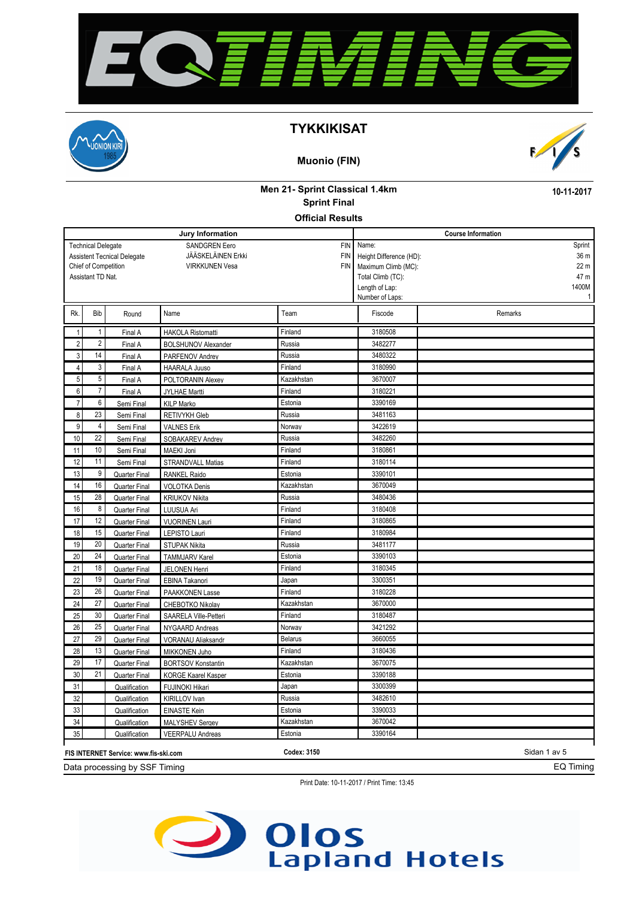



#### **Muonio (FIN)**



**10-11-2017**

#### **Men 21- Sprint Classical 1.4km Official Results Sprint Final**

|                                                                                                                                                                                            |                |                                       | Jury Information           | <b>Course Information</b>              |                                                                              |                                |  |
|--------------------------------------------------------------------------------------------------------------------------------------------------------------------------------------------|----------------|---------------------------------------|----------------------------|----------------------------------------|------------------------------------------------------------------------------|--------------------------------|--|
| <b>Technical Delegate</b><br><b>SANDGREN Eero</b><br><b>JÄÄSKELÄINEN Erkki</b><br><b>Assistent Tecnical Delegate</b><br>Chief of Competition<br><b>VIRKKUNEN Vesa</b><br>Assistant TD Nat. |                |                                       |                            | <b>FIN</b><br><b>FIN</b><br><b>FIN</b> | Name:<br>Height Difference (HD):<br>Maximum Climb (MC):<br>Total Climb (TC): | Sprint<br>36 m<br>22 m<br>47 m |  |
|                                                                                                                                                                                            |                |                                       |                            |                                        | Length of Lap:<br>Number of Laps:                                            | 1400M<br>$\mathbf{1}$          |  |
| Rk.                                                                                                                                                                                        | Bib            | Round                                 | Name                       | Team                                   | Fiscode                                                                      | Remarks                        |  |
| $\mathbf{1}$                                                                                                                                                                               | $\mathbf{1}$   | Final A                               | <b>HAKOLA Ristomatti</b>   | Finland                                | 3180508                                                                      |                                |  |
| $\overline{2}$                                                                                                                                                                             | $\overline{2}$ | Final A                               | <b>BOLSHUNOV Alexander</b> | Russia                                 | 3482277                                                                      |                                |  |
| 3                                                                                                                                                                                          | 14             | Final A                               | PARFENOV Andrey            | Russia                                 | 3480322                                                                      |                                |  |
| $\overline{4}$                                                                                                                                                                             | 3              | Final A                               | HAARALA Juuso              | Finland                                | 3180990                                                                      |                                |  |
| 5                                                                                                                                                                                          | 5              | Final A                               | POLTORANIN Alexey          | Kazakhstan                             | 3670007                                                                      |                                |  |
| 6                                                                                                                                                                                          | $\overline{7}$ | Final A                               | JYLHAE Martti              | Finland                                | 3180221                                                                      |                                |  |
| $\boldsymbol{7}$                                                                                                                                                                           | 6              | Semi Final                            | <b>KILP Marko</b>          | Estonia                                | 3390169                                                                      |                                |  |
| 8                                                                                                                                                                                          | 23             | Semi Final                            | RETIVYKH Gleb              | Russia                                 | 3481163                                                                      |                                |  |
| 9                                                                                                                                                                                          | $\overline{4}$ | Semi Final                            | <b>VALNES Erik</b>         | Norway                                 | 3422619                                                                      |                                |  |
| 10                                                                                                                                                                                         | 22             | Semi Final                            | SOBAKAREV Andrey           | Russia                                 | 3482260                                                                      |                                |  |
| 11                                                                                                                                                                                         | 10             | Semi Final                            | MAEKI Joni                 | Finland                                | 3180861                                                                      |                                |  |
| 12                                                                                                                                                                                         | 11             | Semi Final                            | STRANDVALL Matias          | Finland                                | 3180114                                                                      |                                |  |
| 13                                                                                                                                                                                         | 9              | Quarter Final                         | RANKEL Raido               | Estonia                                | 3390101                                                                      |                                |  |
| 14                                                                                                                                                                                         | 16             | Quarter Final                         | <b>VOLOTKA Denis</b>       | Kazakhstan                             | 3670049                                                                      |                                |  |
| 15                                                                                                                                                                                         | 28             | Quarter Final                         | <b>KRIUKOV Nikita</b>      | Russia                                 | 3480436                                                                      |                                |  |
| 16                                                                                                                                                                                         | 8              | Quarter Final                         | LUUSUA Ari                 | Finland                                | 3180408                                                                      |                                |  |
| 17                                                                                                                                                                                         | 12             | Quarter Final                         | <b>VUORINEN Lauri</b>      | Finland                                | 3180865                                                                      |                                |  |
| 18                                                                                                                                                                                         | 15             | Quarter Final                         | LEPISTO Lauri              | Finland                                | 3180984                                                                      |                                |  |
| 19                                                                                                                                                                                         | 20             | <b>Quarter Final</b>                  | <b>STUPAK Nikita</b>       | Russia                                 | 3481177                                                                      |                                |  |
| 20                                                                                                                                                                                         | 24             | Quarter Final                         | <b>TAMMJARV Karel</b>      | Estonia                                | 3390103                                                                      |                                |  |
| 21                                                                                                                                                                                         | 18             | Quarter Final                         | JELONEN Henri              | Finland                                | 3180345                                                                      |                                |  |
| 22                                                                                                                                                                                         | 19             | Quarter Final                         | EBINA Takanori             | Japan                                  | 3300351                                                                      |                                |  |
| 23                                                                                                                                                                                         | 26             | Quarter Final                         | PAAKKONEN Lasse            | Finland                                | 3180228                                                                      |                                |  |
| 24                                                                                                                                                                                         | 27             | Quarter Final                         | CHEBOTKO Nikolay           | Kazakhstan                             | 3670000                                                                      |                                |  |
| 25                                                                                                                                                                                         | 30             | Quarter Final                         | SAARELA Ville-Petteri      | Finland                                | 3180487                                                                      |                                |  |
| 26                                                                                                                                                                                         | 25             | Quarter Final                         | NYGAARD Andreas            | Norway                                 | 3421292                                                                      |                                |  |
| 27                                                                                                                                                                                         | 29             | Quarter Final                         | VORANAU Aliaksandr         | <b>Belarus</b>                         | 3660055                                                                      |                                |  |
| 28                                                                                                                                                                                         | 13             | <b>Quarter Final</b>                  | MIKKONEN Juho              | Finland                                | 3180436                                                                      |                                |  |
| 29                                                                                                                                                                                         | 17             | <b>Quarter Final</b>                  | <b>BORTSOV Konstantin</b>  | Kazakhstan                             | 3670075                                                                      |                                |  |
| 30                                                                                                                                                                                         | 21             | Quarter Final                         | <b>KORGE Kaarel Kasper</b> | Estonia                                | 3390188                                                                      |                                |  |
| 31                                                                                                                                                                                         |                | Qualification                         | FUJINOKI Hikari            | Japan                                  | 3300399                                                                      |                                |  |
| 32                                                                                                                                                                                         |                | Qualification                         | KIRILLOV Ivan              | Russia                                 | 3482610                                                                      |                                |  |
| 33                                                                                                                                                                                         |                | Qualification                         | <b>EINASTE Kein</b>        | Estonia                                | 3390033                                                                      |                                |  |
| 34                                                                                                                                                                                         |                | Qualification                         | <b>MALYSHEV Sergev</b>     | Kazakhstan                             | 3670042                                                                      |                                |  |
| 35                                                                                                                                                                                         |                | Qualification                         | <b>VEERPALU Andreas</b>    | Estonia                                | 3390164                                                                      |                                |  |
|                                                                                                                                                                                            |                | FIS INTERNET Service: www.fis-ski.com |                            | Codex: 3150                            |                                                                              | Sidan 1 av 5                   |  |

Data processing by SSF Timing

Print Date: 10-11-2017 / Print Time: 13:45

# **Olos**<br>Lapland Hotels

EQ Timing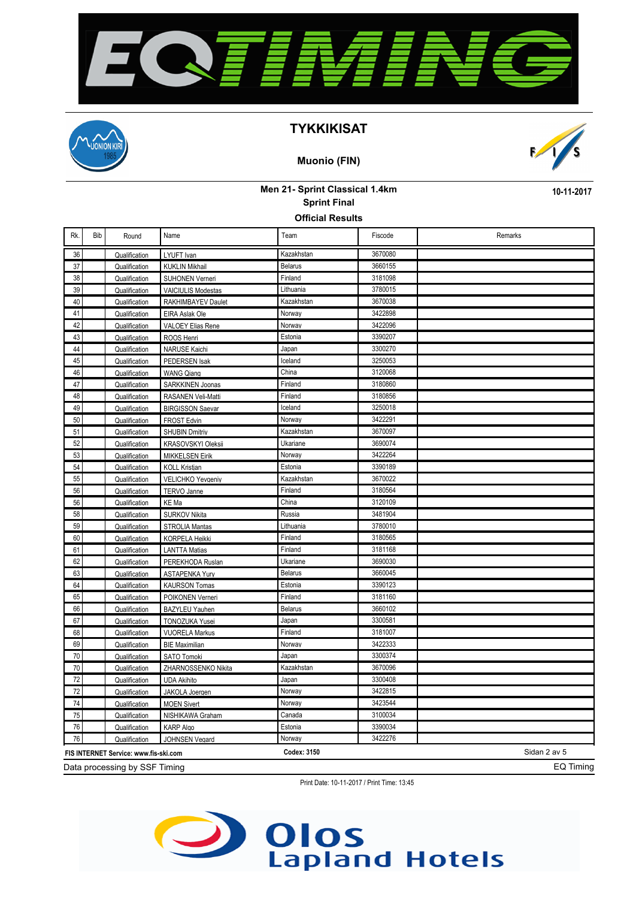



#### **Muonio (FIN)**



**10-11-2017**

## **Men 21- Sprint Classical 1.4km Sprint Final**

**Official Results**

| Rk. | Bib                                        | Round                                 | Name                      | Team           | Fiscode | Remarks      |  |
|-----|--------------------------------------------|---------------------------------------|---------------------------|----------------|---------|--------------|--|
| 36  |                                            | Qualification                         | LYUFT Ivan                | Kazakhstan     | 3670080 |              |  |
| 37  |                                            | Qualification                         | <b>KUKLIN Mikhail</b>     | <b>Belarus</b> | 3660155 |              |  |
| 38  |                                            | Qualification                         | <b>SUHONEN Verneri</b>    | Finland        | 3181098 |              |  |
| 39  |                                            | Qualification                         | <b>VAICIULIS Modestas</b> | Lithuania      | 3780015 |              |  |
| 40  |                                            | Qualification                         | RAKHIMBAYEV Daulet        | Kazakhstan     | 3670038 |              |  |
| 41  |                                            | Qualification                         | EIRA Aslak Ole            | Norway         | 3422898 |              |  |
| 42  |                                            | Qualification                         | VALOEY Elias Rene         | Norway         | 3422096 |              |  |
| 43  |                                            | Qualification                         | ROOS Henri                | Estonia        | 3390207 |              |  |
| 44  |                                            | Qualification                         | <b>NARUSE Kaichi</b>      | Japan          | 3300270 |              |  |
| 45  |                                            | Qualification                         | PEDERSEN Isak             | Iceland        | 3250053 |              |  |
| 46  |                                            | Qualification                         | <b>WANG Qiang</b>         | China          | 3120068 |              |  |
| 47  |                                            | Qualification                         | SARKKINEN Joonas          | Finland        | 3180860 |              |  |
| 48  |                                            | Qualification                         | RASANEN Veli-Matti        | Finland        | 3180856 |              |  |
| 49  |                                            | Qualification                         | <b>BIRGISSON Saevar</b>   | Iceland        | 3250018 |              |  |
| 50  |                                            | Qualification                         | FROST Edvin               | Norway         | 3422291 |              |  |
| 51  |                                            | Qualification                         | <b>SHUBIN Dmitriv</b>     | Kazakhstan     | 3670097 |              |  |
| 52  |                                            | Qualification                         | KRASOVSKYI Oleksii        | Ukariane       | 3690074 |              |  |
| 53  |                                            | Qualification                         | <b>MIKKELSEN Eirik</b>    | Norway         | 3422264 |              |  |
| 54  |                                            | Qualification                         | <b>KOLL Kristian</b>      | Estonia        | 3390189 |              |  |
| 55  |                                            | Qualification                         | <b>VELICHKO Yevgeniy</b>  | Kazakhstan     | 3670022 |              |  |
| 56  |                                            | Qualification                         | TERVO Janne               | Finland        | 3180564 |              |  |
| 56  |                                            | Qualification                         | KE Ma                     | China          | 3120109 |              |  |
| 58  |                                            | Qualification                         | <b>SURKOV Nikita</b>      | Russia         | 3481904 |              |  |
| 59  |                                            | Qualification                         | <b>STROLIA Mantas</b>     | Lithuania      | 3780010 |              |  |
| 60  |                                            | Qualification                         | KORPELA Heikki            | Finland        | 3180565 |              |  |
| 61  |                                            | Qualification                         | <b>LANTTA Matias</b>      | Finland        | 3181168 |              |  |
| 62  |                                            | Qualification                         | PEREKHODA Ruslan          | Ukariane       | 3690030 |              |  |
| 63  |                                            | Qualification                         | ASTAPENKA Yurv            | <b>Belarus</b> | 3660045 |              |  |
| 64  |                                            | Qualification                         | <b>KAURSON Tomas</b>      | Estonia        | 3390123 |              |  |
| 65  |                                            | Qualification                         | POIKONEN Verneri          | Finland        | 3181160 |              |  |
| 66  |                                            | Qualification                         | <b>BAZYLEU Yauhen</b>     | <b>Belarus</b> | 3660102 |              |  |
| 67  |                                            | Qualification                         | TONOZUKA Yusei            | Japan          | 3300581 |              |  |
| 68  |                                            | Qualification                         | <b>VUORELA Markus</b>     | Finland        | 3181007 |              |  |
| 69  |                                            | Qualification                         | <b>BIE Maximilian</b>     | Norway         | 3422333 |              |  |
| 70  |                                            | Qualification                         | SATO Tomoki               | Japan          | 3300374 |              |  |
| 70  |                                            | Qualification                         | ZHARNOSSENKO Nikita       | Kazakhstan     | 3670096 |              |  |
| 72  |                                            | Qualification                         | <b>UDA Akihito</b>        | Japan          | 3300408 |              |  |
| 72  |                                            | Qualification                         | JAKOLA Joeraen            | Norway         | 3422815 |              |  |
| 74  |                                            | Qualification                         | <b>MOEN Sivert</b>        | Norway         | 3423544 |              |  |
| 75  |                                            | Qualification                         | NISHIKAWA Graham          | Canada         | 3100034 |              |  |
| 76  |                                            | Qualification                         | <b>KARP Algo</b>          | Estonia        | 3390034 |              |  |
| 76  |                                            | Qualification                         | JOHNSEN Vegard            | Norway         | 3422276 |              |  |
|     |                                            | FIS INTERNET Service: www.fis-ski.com |                           | Codex: 3150    |         | Sidan 2 av 5 |  |
|     | EQ Timing<br>Data processing by SSF Timing |                                       |                           |                |         |              |  |

Print Date: 10-11-2017 / Print Time: 13:45

# Olos<br>Lapland Hotels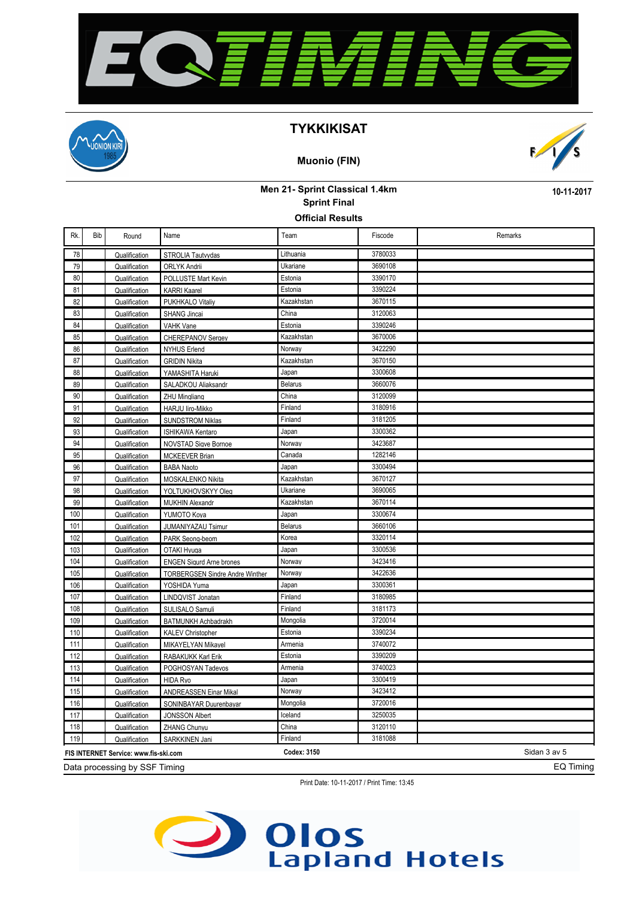



#### **Muonio (FIN)**



**10-11-2017**

## **Men 21- Sprint Classical 1.4km Sprint Final**

**Official Results**

| Rk. | <b>Bib</b>                                        | Round                                 | Name                                   | Team           | Fiscode | Remarks      |  |
|-----|---------------------------------------------------|---------------------------------------|----------------------------------------|----------------|---------|--------------|--|
| 78  |                                                   | Qualification                         | STROLIA Tautvydas                      | Lithuania      | 3780033 |              |  |
| 79  |                                                   | Qualification                         | ORLYK Andrii                           | Ukariane       | 3690108 |              |  |
| 80  |                                                   | Qualification                         | POLLUSTE Mart Kevin                    | Estonia        | 3390170 |              |  |
| 81  |                                                   | Qualification                         | <b>KARRI Kaarel</b>                    | Estonia        | 3390224 |              |  |
| 82  |                                                   | Qualification                         | PUKHKALO Vitaliy                       | Kazakhstan     | 3670115 |              |  |
| 83  |                                                   | Qualification                         | SHANG Jincai                           | China          | 3120063 |              |  |
| 84  |                                                   | Qualification                         | <b>VAHK Vane</b>                       | Estonia        | 3390246 |              |  |
| 85  |                                                   | Qualification                         | CHEREPANOV Sergey                      | Kazakhstan     | 3670006 |              |  |
| 86  |                                                   | Qualification                         | <b>NYHUS Erlend</b>                    | Norway         | 3422290 |              |  |
| 87  |                                                   | Qualification                         | <b>GRIDIN Nikita</b>                   | Kazakhstan     | 3670150 |              |  |
| 88  |                                                   | Qualification                         | YAMASHITA Haruki                       | Japan          | 3300608 |              |  |
| 89  |                                                   | Qualification                         | SALADKOU Aliaksandr                    | <b>Belarus</b> | 3660076 |              |  |
| 90  |                                                   | Qualification                         | ZHU Minaliana                          | China          | 3120099 |              |  |
| 91  |                                                   | Qualification                         | HARJU liro-Mikko                       | Finland        | 3180916 |              |  |
| 92  |                                                   | Qualification                         | <b>SUNDSTROM Niklas</b>                | Finland        | 3181205 |              |  |
| 93  |                                                   | Qualification                         | <b>ISHIKAWA Kentaro</b>                | Japan          | 3300362 |              |  |
| 94  |                                                   | Qualification                         | NOVSTAD Siave Bornoe                   | Norway         | 3423687 |              |  |
| 95  |                                                   | Qualification                         | <b>MCKEEVER Brian</b>                  | Canada         | 1282146 |              |  |
| 96  |                                                   | Qualification                         | <b>BABA Naoto</b>                      | Japan          | 3300494 |              |  |
| 97  |                                                   | Qualification                         | MOSKALENKO Nikita                      | Kazakhstan     | 3670127 |              |  |
| 98  |                                                   | Qualification                         | YOLTUKHOVSKYY Olea                     | Ukariane       | 3690065 |              |  |
| 99  |                                                   | Qualification                         | <b>MUKHIN Alexandr</b>                 | Kazakhstan     | 3670114 |              |  |
| 100 |                                                   | Qualification                         | YUMOTO Kova                            | Japan          | 3300674 |              |  |
| 101 |                                                   | Qualification                         | <b>JUMANIYAZAU Tsimur</b>              | Belarus        | 3660106 |              |  |
| 102 |                                                   | Qualification                         | PARK Seong-beom                        | Korea          | 3320114 |              |  |
| 103 |                                                   | Qualification                         | OTAKI Hyuga                            | Japan          | 3300536 |              |  |
| 104 |                                                   | Qualification                         | <b>ENGEN Sigurd Arne brones</b>        | Norway         | 3423416 |              |  |
| 105 |                                                   | Qualification                         | <b>TORBERGSEN Sindre Andre Winther</b> | Norway         | 3422636 |              |  |
| 106 |                                                   | Qualification                         | YOSHIDA Yuma                           | Japan          | 3300361 |              |  |
| 107 |                                                   | Qualification                         | LINDQVIST Jonatan                      | Finland        | 3180985 |              |  |
| 108 |                                                   | Qualification                         | SULISALO Samuli                        | Finland        | 3181173 |              |  |
| 109 |                                                   | Qualification                         | BATMUNKH Achbadrakh                    | Mongolia       | 3720014 |              |  |
| 110 |                                                   | Qualification                         | <b>KALEV Christopher</b>               | Estonia        | 3390234 |              |  |
| 111 |                                                   | Qualification                         | MIKAYELYAN Mikavel                     | Armenia        | 3740072 |              |  |
| 112 |                                                   | Qualification                         | RABAKUKK Karl Erik                     | Estonia        | 3390209 |              |  |
| 113 |                                                   | Qualification                         | POGHOSYAN Tadevos                      | Armenia        | 3740023 |              |  |
| 114 |                                                   | Qualification                         | <b>HIDA Ryo</b>                        | Japan          | 3300419 |              |  |
| 115 |                                                   | Qualification                         | <b>ANDREASSEN Einar Mikal</b>          | Norway         | 3423412 |              |  |
| 116 |                                                   | Qualification                         | SONINBAYAR Duurenbayar                 | Mongolia       | 3720016 |              |  |
| 117 |                                                   | Qualification                         | <b>JONSSON Albert</b>                  | Iceland        | 3250035 |              |  |
| 118 |                                                   | Qualification                         | ZHANG Chunyu                           | China          | 3120110 |              |  |
| 119 |                                                   | Qualification                         | SARKKINEN Jani                         | Finland        | 3181088 |              |  |
|     |                                                   | FIS INTERNET Service: www.fis-ski.com |                                        | Codex: 3150    |         | Sidan 3 av 5 |  |
|     | <b>EQ Timing</b><br>Data processing by SSF Timing |                                       |                                        |                |         |              |  |

Print Date: 10-11-2017 / Print Time: 13:45

# Olos<br>Lapland Hotels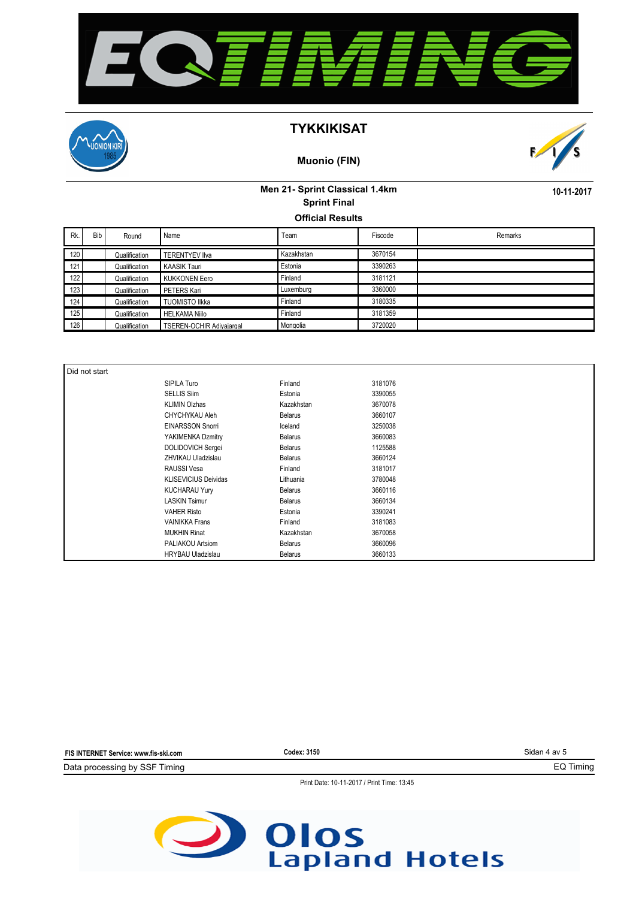





#### **Muonio (FIN)**

## **Men 21- Sprint Classical 1.4km Sprint Final**

**10-11-2017**

**Official Results**

| Rk. | Bib | Round         | Name                            | Team       | Fiscode | Remarks |
|-----|-----|---------------|---------------------------------|------------|---------|---------|
| 120 |     | Qualification | <b>TERENTYEV IIva</b>           | Kazakhstan | 3670154 |         |
| 121 |     | Qualification | <b>KAASIK Tauri</b>             | Estonia    | 3390263 |         |
| 122 |     | Qualification | <b>KUKKONEN Eero</b>            | Finland    | 3181121 |         |
| 123 |     | Qualification | PETERS Kari                     | Luxemburg  | 3360000 |         |
| 124 |     | Qualification | <b>TUOMISTO Ilkka</b>           | Finland    | 3180335 |         |
| 125 |     | Qualification | <b>HELKAMA Niilo</b>            | Finland    | 3181359 |         |
| 126 |     | Qualification | <b>TSEREN-OCHIR Adivajargal</b> | Mongolia   | 3720020 |         |

| Did not start |                             |                |         |
|---------------|-----------------------------|----------------|---------|
|               | SIPILA Turo                 | Finland        | 3181076 |
|               | <b>SELLIS Siim</b>          | Estonia        | 3390055 |
|               | <b>KLIMIN Olzhas</b>        | Kazakhstan     | 3670078 |
|               | CHYCHYKAU Aleh              | Belarus        | 3660107 |
|               | <b>EINARSSON Snorri</b>     | Iceland        | 3250038 |
|               | YAKIMENKA Dzmitry           | Belarus        | 3660083 |
|               | <b>DOLIDOVICH Sergei</b>    | Belarus        | 1125588 |
|               | ZHVIKAU Uladzislau          | <b>Belarus</b> | 3660124 |
|               | <b>RAUSSI Vesa</b>          | Finland        | 3181017 |
|               | <b>KLISEVICIUS Deividas</b> | Lithuania      | 3780048 |
|               | <b>KUCHARAU Yury</b>        | Belarus        | 3660116 |
|               | <b>LASKIN Tsimur</b>        | Belarus        | 3660134 |
|               | <b>VAHER Risto</b>          | Estonia        | 3390241 |
|               | <b>VAINIKKA Frans</b>       | Finland        | 3181083 |
|               | <b>MUKHIN Rinat</b>         | Kazakhstan     | 3670058 |
|               | PALIAKOU Artsiom            | Belarus        | 3660096 |
|               | <b>HRYBAU Uladzislau</b>    | <b>Belarus</b> | 3660133 |

| FIS INTERNET Service: www.fis-ski.com | Codex: 3150                                | Sidan 4 av 5 |
|---------------------------------------|--------------------------------------------|--------------|
| Data processing by SSF Timing         |                                            | EQ Timing    |
|                                       | Print Date: 10-11-2017 / Print Time: 13:45 |              |